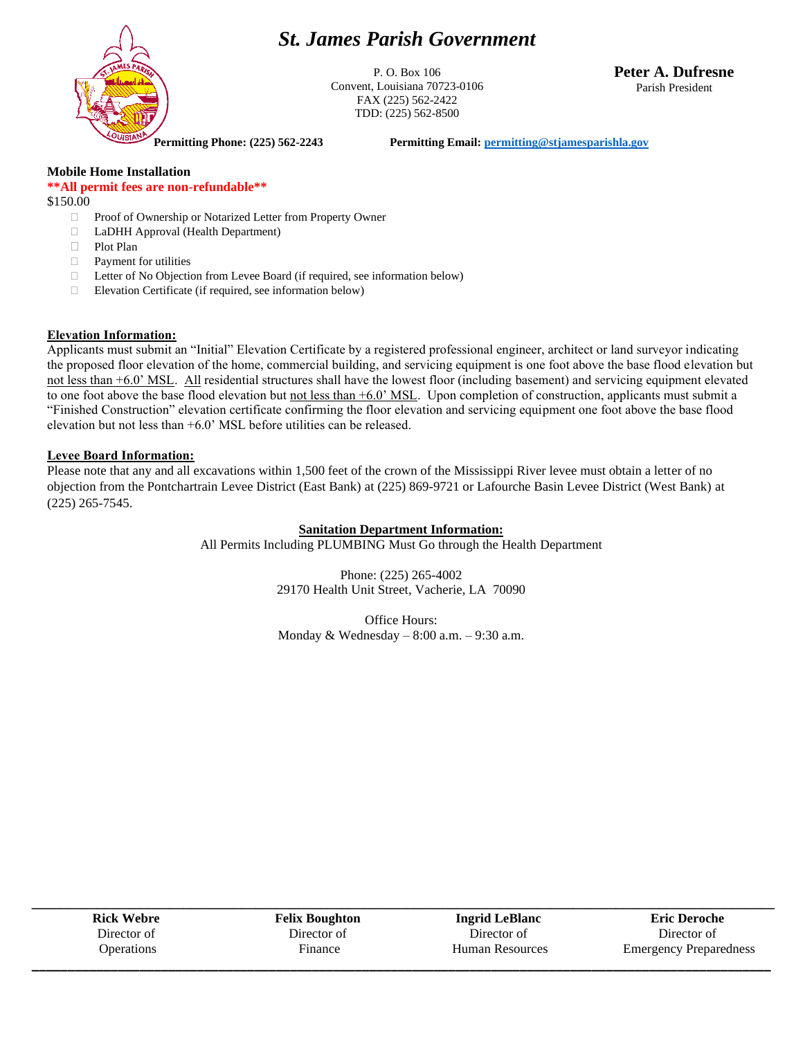## *St. James Parish Government*



P. O. Box 106 Convent, Louisiana 70723-0106 FAX (225) 562-2422 TDD: (225) 562-8500

**Peter A. Dufresne** Parish President

**Permitting Phone: (225) 562-2243 Permitting Email[: permitting@stjamesparishla.gov](mailto:permitting@stjamesparishla.gov)**

#### **Mobile Home Installation**

#### **\*\*All permit fees are non-refundable\*\***

\$150.00

- Proof of Ownership or Notarized Letter from Property Owner
- LaDHH Approval (Health Department)
- □ Plot Plan
- Payment for utilities
- □ Letter of No Objection from Levee Board (if required, see information below)
- $\Box$  Elevation Certificate (if required, see information below)

#### **Elevation Information:**

Applicants must submit an "Initial" Elevation Certificate by a registered professional engineer, architect or land surveyor indicating the proposed floor elevation of the home, commercial building, and servicing equipment is one foot above the base flood elevation but not less than +6.0' MSL. All residential structures shall have the lowest floor (including basement) and servicing equipment elevated to one foot above the base flood elevation but not less than  $+6.0$ ' MSL. Upon completion of construction, applicants must submit a "Finished Construction" elevation certificate confirming the floor elevation and servicing equipment one foot above the base flood elevation but not less than +6.0' MSL before utilities can be released.

#### **Levee Board Information:**

Please note that any and all excavations within 1,500 feet of the crown of the Mississippi River levee must obtain a letter of no objection from the Pontchartrain Levee District (East Bank) at (225) 869-9721 or Lafourche Basin Levee District (West Bank) at (225) 265-7545.

#### **Sanitation Department Information:**

All Permits Including PLUMBING Must Go through the Health Department

Phone: (225) 265-4002 29170 Health Unit Street, Vacherie, LA 70090

Office Hours: Monday & Wednesday – 8:00 a.m. – 9:30 a.m.

| <b>Rick Webre</b> | <b>Felix Boughton</b> | <b>Ingrid LeBlanc</b>  | <b>Eric Deroche</b>           |
|-------------------|-----------------------|------------------------|-------------------------------|
| Director of       | Director of           | Director of            | Director of                   |
| <b>Operations</b> | Finance               | <b>Human Resources</b> | <b>Emergency Preparedness</b> |
|                   |                       |                        |                               |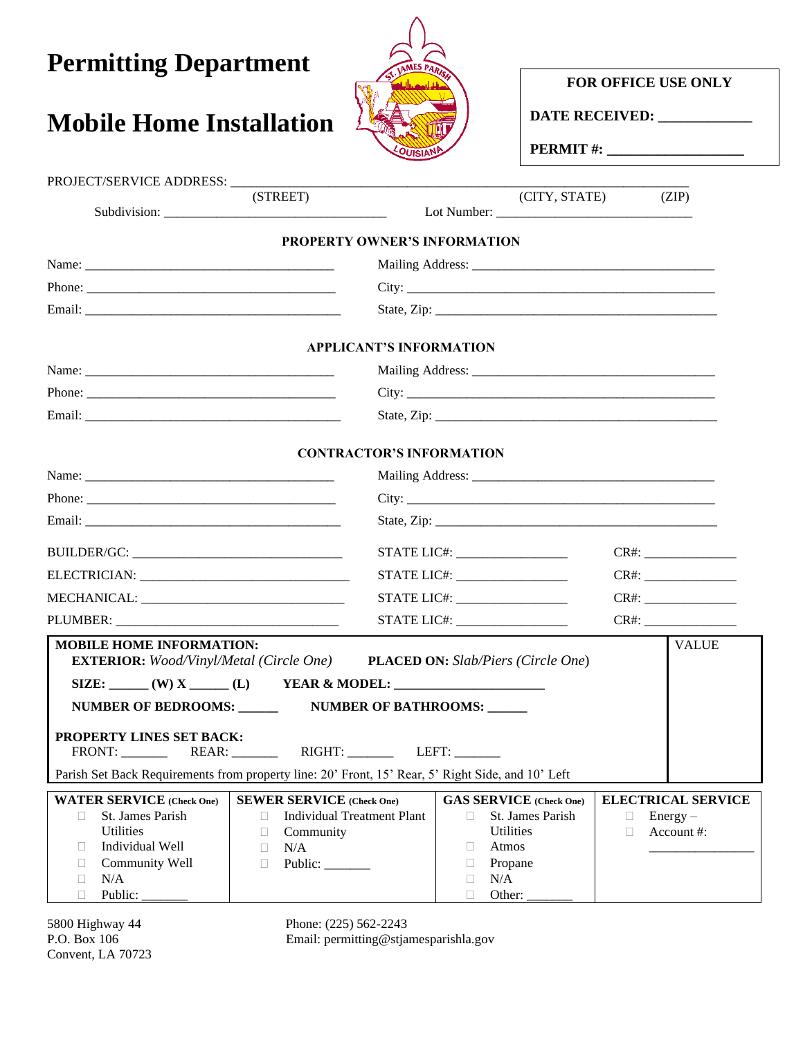| <b>Permitting Department</b>    |                                 | FOR OFFICE USE ONLY<br>DATE RECEIVED: |       |
|---------------------------------|---------------------------------|---------------------------------------|-------|
| <b>Mobile Home Installation</b> |                                 |                                       |       |
|                                 |                                 |                                       |       |
| (STREET)                        |                                 | (CITY, STATE)                         | (ZIP) |
|                                 | PROPERTY OWNER'S INFORMATION    |                                       |       |
|                                 |                                 |                                       |       |
|                                 |                                 |                                       |       |
|                                 |                                 |                                       |       |
|                                 | <b>APPLICANT'S INFORMATION</b>  |                                       |       |
|                                 |                                 |                                       |       |
|                                 |                                 |                                       |       |
|                                 |                                 |                                       |       |
|                                 | <b>CONTRACTOR'S INFORMATION</b> |                                       |       |
|                                 |                                 |                                       |       |
|                                 |                                 |                                       |       |
|                                 |                                 |                                       |       |
|                                 | STATE LIC#: __________________  |                                       |       |
|                                 | STATE LIC#: ___________________ |                                       |       |

|                                                                                                                                                                   |                                                                                   | STATE LIC#:                    |                 | CR#                       |  |  |
|-------------------------------------------------------------------------------------------------------------------------------------------------------------------|-----------------------------------------------------------------------------------|--------------------------------|-----------------|---------------------------|--|--|
| <b>MOBILE HOME INFORMATION:</b>                                                                                                                                   | <b>EXTERIOR:</b> Wood/Vinyl/Metal (Circle One) PLACED ON: Slab/Piers (Circle One) |                                |                 | <b>VALUE</b>              |  |  |
| SIZE: $(W)$ X  (L) YEAR & MODEL:                                                                                                                                  |                                                                                   |                                |                 |                           |  |  |
| NUMBER OF BEDROOMS: NUMBER OF BATHROOMS:                                                                                                                          |                                                                                   |                                |                 |                           |  |  |
| <b>PROPERTY LINES SET BACK:</b><br>FRONT: REAR: RIGHT: LEFT:<br>Parish Set Back Requirements from property line: 20' Front, 15' Rear, 5' Right Side, and 10' Left |                                                                                   |                                |                 |                           |  |  |
| <b>WATER SERVICE</b> (Check One)                                                                                                                                  | <b>SEWER SERVICE</b> (Check One)                                                  | <b>GAS SERVICE</b> (Check One) |                 | <b>ELECTRICAL SERVICE</b> |  |  |
| St. James Parish<br>П.                                                                                                                                            | Individual Treatment Plant<br>$\Box$                                              | $\Box$ St. James Parish        | $\Box$ Energy – |                           |  |  |
| <b>Utilities</b>                                                                                                                                                  | Community<br>$\Box$                                                               | <b>Utilities</b>               | $\Box$          | Account #:                |  |  |
| Individual Well<br>$\Box$                                                                                                                                         | N/A<br>$\Box$                                                                     | Atmos<br>$\Box$                |                 |                           |  |  |
| Community Well                                                                                                                                                    | Public:<br>$\Box$                                                                 | Propane                        |                 |                           |  |  |
| N/A                                                                                                                                                               |                                                                                   | N/A                            |                 |                           |  |  |

MECHANICAL: \_\_\_\_\_\_\_\_\_\_\_\_\_\_\_\_\_\_\_\_\_\_\_\_\_\_\_\_\_\_\_ STATE LIC#: \_\_\_\_\_\_\_\_\_\_\_\_\_\_\_\_\_ CR#: \_\_\_\_\_\_\_\_\_\_\_\_\_\_

Convent, LA 70723

D Public:

5800 Highway 44 Phone: (225) 562-2243<br>P.O. Box 106 Email: permitting @stja Email: permitting@stjamesparishla.gov

 $\Box$  Other:  $\_\_$